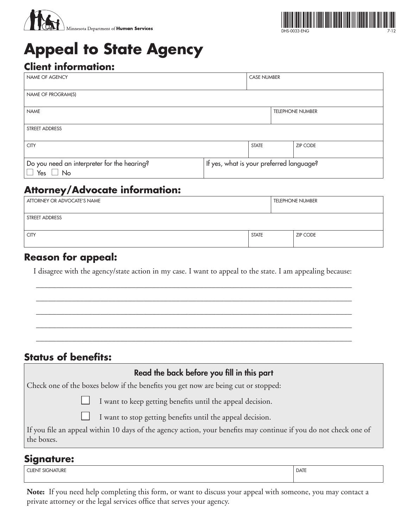



# **Appeal to State Agency**

## **Client information:**

| <b>NAME OF AGENCY</b>                                        |                                          | <b>CASE NUMBER</b> |                 |  |
|--------------------------------------------------------------|------------------------------------------|--------------------|-----------------|--|
| NAME OF PROGRAM(S)                                           |                                          |                    |                 |  |
| <b>NAME</b>                                                  | <b>TELEPHONE NUMBER</b>                  |                    |                 |  |
| <b>STREET ADDRESS</b>                                        |                                          |                    |                 |  |
| <b>CITY</b>                                                  |                                          | <b>STATE</b>       | <b>ZIP CODE</b> |  |
| Do you need an interpreter for the hearing?<br>Yes $\Box$ No | If yes, what is your preferred language? |                    |                 |  |

# **Attorney/Advocate information:**

| ATTORNEY OR ADVOCATE'S NAME |              |  | <b>TELEPHONE NUMBER</b> |  |
|-----------------------------|--------------|--|-------------------------|--|
| STREET ADDRESS              |              |  |                         |  |
| <b>CITY</b>                 | <b>STATE</b> |  | <b>ZIP CODE</b>         |  |

## **Reason for appeal:**

I disagree with the agency/state action in my case. I want to appeal to the state. I am appealing because:

\_\_\_\_\_\_\_\_\_\_\_\_\_\_\_\_\_\_\_\_\_\_\_\_\_\_\_\_\_\_\_\_\_\_\_\_\_\_\_\_\_\_\_\_\_\_\_\_\_\_\_\_\_\_\_\_\_\_\_\_\_\_\_\_\_\_\_\_\_\_\_\_\_\_\_\_\_\_\_

\_\_\_\_\_\_\_\_\_\_\_\_\_\_\_\_\_\_\_\_\_\_\_\_\_\_\_\_\_\_\_\_\_\_\_\_\_\_\_\_\_\_\_\_\_\_\_\_\_\_\_\_\_\_\_\_\_\_\_\_\_\_\_\_\_\_\_\_\_\_\_\_\_\_\_\_\_\_\_

\_\_\_\_\_\_\_\_\_\_\_\_\_\_\_\_\_\_\_\_\_\_\_\_\_\_\_\_\_\_\_\_\_\_\_\_\_\_\_\_\_\_\_\_\_\_\_\_\_\_\_\_\_\_\_\_\_\_\_\_\_\_\_\_\_\_\_\_\_\_\_\_\_\_\_\_\_\_\_

\_\_\_\_\_\_\_\_\_\_\_\_\_\_\_\_\_\_\_\_\_\_\_\_\_\_\_\_\_\_\_\_\_\_\_\_\_\_\_\_\_\_\_\_\_\_\_\_\_\_\_\_\_\_\_\_\_\_\_\_\_\_\_\_\_\_\_\_\_\_\_\_\_\_\_\_\_\_\_

\_\_\_\_\_\_\_\_\_\_\_\_\_\_\_\_\_\_\_\_\_\_\_\_\_\_\_\_\_\_\_\_\_\_\_\_\_\_\_\_\_\_\_\_\_\_\_\_\_\_\_\_\_\_\_\_\_\_\_\_\_\_\_\_\_\_\_\_\_\_\_\_\_\_\_\_\_\_\_

## **Status of benefits:**

| Read the back before you fill in this part                                                                                     |  |  |
|--------------------------------------------------------------------------------------------------------------------------------|--|--|
| Check one of the boxes below if the benefits you get now are being cut or stopped:                                             |  |  |
| I want to keep getting benefits until the appeal decision.                                                                     |  |  |
| I want to stop getting benefits until the appeal decision.                                                                     |  |  |
| If you file an appeal within 10 days of the agency action, your benefits may continue if you do not check one of<br>the boxes. |  |  |
| <b>Signature:</b>                                                                                                              |  |  |

CLIENT SIGNATURE **DATE** 

**Note:** If you need help completing this form, or want to discuss your appeal with someone, you may contact a private attorney or the legal services office that serves your agency.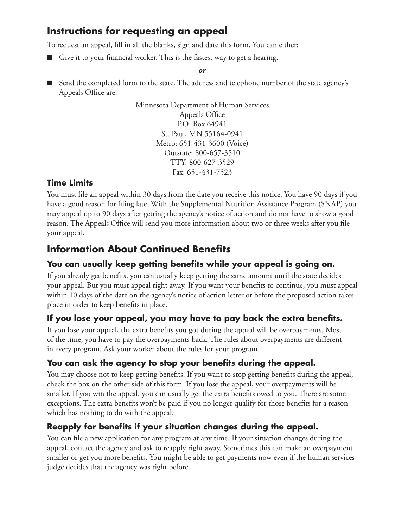# **Instructions for requesting an appeal**

To request an appeal, fill in all the blanks, sign and date this form. You can either:

■ Give it to your financial worker. This is the fastest way to get a hearing.

*or*

■ Send the completed form to the state. The address and telephone number of the state agency's Appeals Office are:

> Minnesota Department of Human Services Appeals Office P.O. Box 64941 St. Paul, MN 55164-0941 Metro: 651-431-3600 (Voice) Outstate: 800-657-3510 TTY: 800-627-3529 Fax: 651-431-7523

#### **Time Limits**

You must file an appeal within 30 days from the date you receive this notice. You have 90 days if you have a good reason for filing late. With the Supplemental Nutrition Assistance Program (SNAP) you may appeal up to 90 days after getting the agency's notice of action and do not have to show a good reason. The Appeals Office will send you more information about two or three weeks after you file your appeal.

# **Information About Continued Benefits**

## **You can usually keep getting benefits while your appeal is going on.**

If you already get benefits, you can usually keep getting the same amount until the state decides your appeal. But you must appeal right away. If you want your benefits to continue, you must appeal within 10 days of the date on the agency's notice of action letter or before the proposed action takes place in order to keep benefits in place.

## **If you lose your appeal, you may have to pay back the extra benefits.**

If you lose your appeal, the extra benefits you got during the appeal will be overpayments. Most of the time, you have to pay the overpayments back. The rules about overpayments are different in every program. Ask your worker about the rules for your program.

#### **You can ask the agency to stop your benefits during the appeal.**

You may choose not to keep getting benefits. If you want to stop getting benefits during the appeal, check the box on the other side of this form. If you lose the appeal, your overpayments will be smaller. If you win the appeal, you can usually get the extra benefits owed to you. There are some exceptions. The extra benefits won't be paid if you no longer qualify for those benefits for a reason which has nothing to do with the appeal.

#### **Reapply for benefits if your situation changes during the appeal.**

You can file a new application for any program at any time. If your situation changes during the appeal, contact the agency and ask to reapply right away. Sometimes this can make an overpayment smaller or get you more benefits. You might be able to get payments now even if the human services judge decides that the agency was right before.